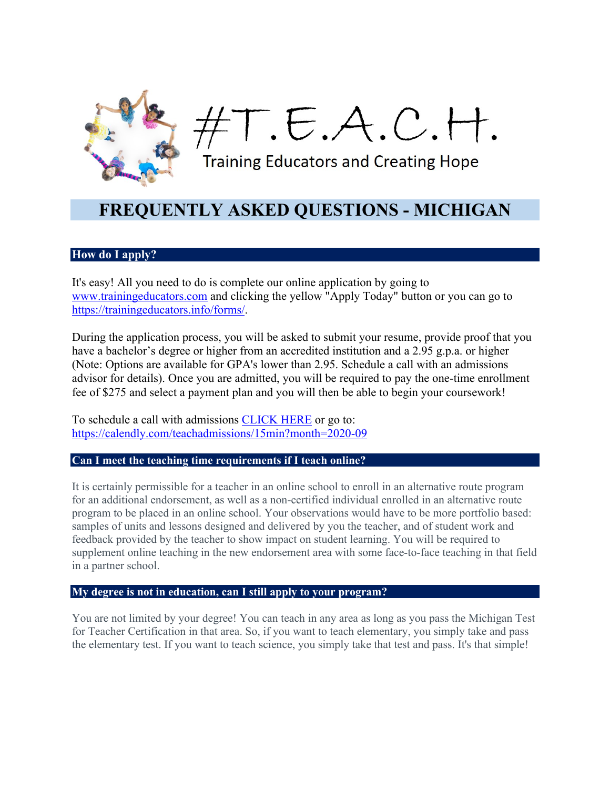

T.E.A.C.H.

**Training Educators and Creating Hope** 

# **FREQUENTLY ASKED QUESTIONS - MICHIGAN**

# **How do I apply?**

It's easy! All you need to do is complete our online application by going to www.trainingeducators.com and clicking the yellow "Apply Today" button or you can go to https://trainingeducators.info/forms/.

During the application process, you will be asked to submit your resume, provide proof that you have a bachelor's degree or higher from an accredited institution and a 2.95 g.p.a. or higher (Note: Options are available for GPA's lower than 2.95. Schedule a call with an admissions advisor for details). Once you are admitted, you will be required to pay the one-time enrollment fee of \$275 and select a payment plan and you will then be able to begin your coursework!

To schedule a call with admissions CLICK HERE or go to: https://calendly.com/teachadmissions/15min?month=2020-09

# **Can I meet the teaching time requirements if I teach online?**

It is certainly permissible for a teacher in an online school to enroll in an alternative route program for an additional endorsement, as well as a non-certified individual enrolled in an alternative route program to be placed in an online school. Your observations would have to be more portfolio based: samples of units and lessons designed and delivered by you the teacher, and of student work and feedback provided by the teacher to show impact on student learning. You will be required to supplement online teaching in the new endorsement area with some face-to-face teaching in that field in a partner school.

# **My degree is not in education, can I still apply to your program?**

You are not limited by your degree! You can teach in any area as long as you pass the Michigan Test for Teacher Certification in that area. So, if you want to teach elementary, you simply take and pass the elementary test. If you want to teach science, you simply take that test and pass. It's that simple!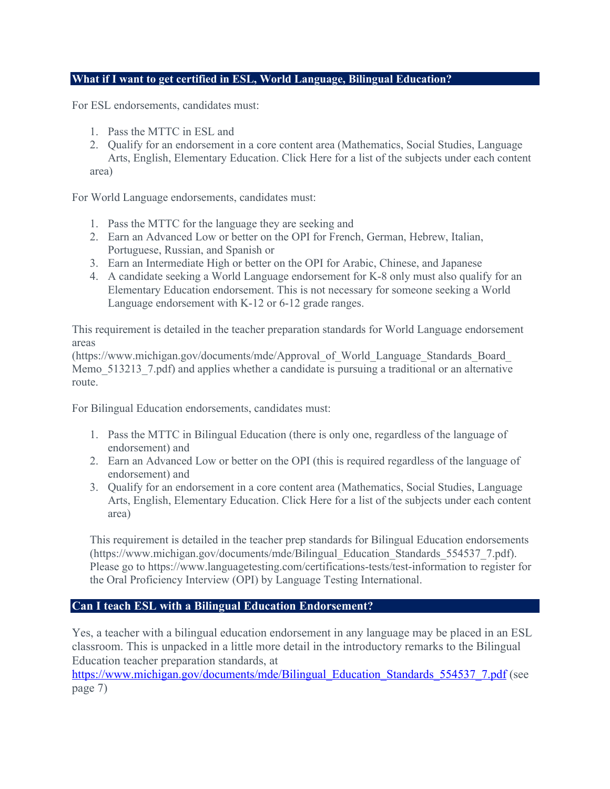# **What if I want to get certified in ESL, World Language, Bilingual Education?**

For ESL endorsements, candidates must:

- 1. Pass the MTTC in ESL and
- 2. Qualify for an endorsement in a core content area (Mathematics, Social Studies, Language Arts, English, Elementary Education. Click Here for a list of the subjects under each content area)

For World Language endorsements, candidates must:

- 1. Pass the MTTC for the language they are seeking and
- 2. Earn an Advanced Low or better on the OPI for French, German, Hebrew, Italian, Portuguese, Russian, and Spanish or
- 3. Earn an Intermediate High or better on the OPI for Arabic, Chinese, and Japanese
- 4. A candidate seeking a World Language endorsement for K-8 only must also qualify for an Elementary Education endorsement. This is not necessary for someone seeking a World Language endorsement with K-12 or 6-12 grade ranges.

This requirement is detailed in the teacher preparation standards for World Language endorsement areas

(https://www.michigan.gov/documents/mde/Approval\_of\_World\_Language\_Standards\_Board\_ Memo 513213 7.pdf) and applies whether a candidate is pursuing a traditional or an alternative route.

For Bilingual Education endorsements, candidates must:

- 1. Pass the MTTC in Bilingual Education (there is only one, regardless of the language of endorsement) and
- 2. Earn an Advanced Low or better on the OPI (this is required regardless of the language of endorsement) and
- 3. Qualify for an endorsement in a core content area (Mathematics, Social Studies, Language Arts, English, Elementary Education. Click Here for a list of the subjects under each content area)

This requirement is detailed in the teacher prep standards for Bilingual Education endorsements (https://www.michigan.gov/documents/mde/Bilingual\_Education\_Standards\_554537\_7.pdf). Please go to https://www.languagetesting.com/certifications-tests/test-information to register for the Oral Proficiency Interview (OPI) by Language Testing International.

# **Can I teach ESL with a Bilingual Education Endorsement?**

Yes, a teacher with a bilingual education endorsement in any language may be placed in an ESL classroom. This is unpacked in a little more detail in the introductory remarks to the Bilingual Education teacher preparation standards, at

https://www.michigan.gov/documents/mde/Bilingual\_Education\_Standards\_554537\_7.pdf (see page 7)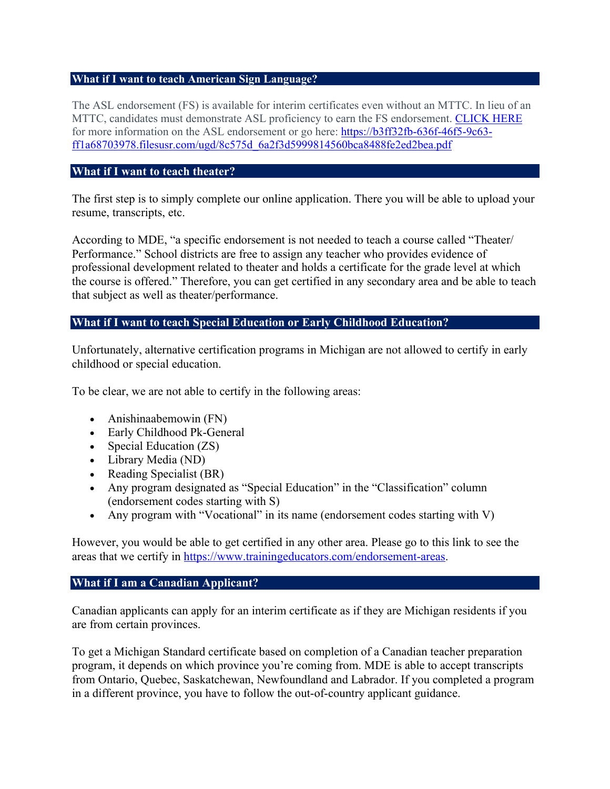#### **What if I want to teach American Sign Language?**

The ASL endorsement (FS) is available for interim certificates even without an MTTC. In lieu of an MTTC, candidates must demonstrate ASL proficiency to earn the FS endorsement. CLICK HERE for more information on the ASL endorsement or go here: https://b3ff32fb-636f-46f5-9c63ff1a68703978.filesusr.com/ugd/8c575d\_6a2f3d5999814560bca8488fe2ed2bea.pdf

# **What if I want to teach theater?**

The first step is to simply complete our online application. There you will be able to upload your resume, transcripts, etc.

According to MDE, "a specific endorsement is not needed to teach a course called "Theater/ Performance." School districts are free to assign any teacher who provides evidence of professional development related to theater and holds a certificate for the grade level at which the course is offered." Therefore, you can get certified in any secondary area and be able to teach that subject as well as theater/performance.

# **What if I want to teach Special Education or Early Childhood Education?**

Unfortunately, alternative certification programs in Michigan are not allowed to certify in early childhood or special education.

To be clear, we are not able to certify in the following areas:

- Anishinaabemowin (FN)
- Early Childhood Pk-General
- Special Education (ZS)
- Library Media (ND)
- Reading Specialist (BR)
- Any program designated as "Special Education" in the "Classification" column (endorsement codes starting with S)
- Any program with "Vocational" in its name (endorsement codes starting with V)

However, you would be able to get certified in any other area. Please go to this link to see the areas that we certify in https://www.trainingeducators.com/endorsement-areas.

# **What if I am a Canadian Applicant?**

Canadian applicants can apply for an interim certificate as if they are Michigan residents if you are from certain provinces.

To get a Michigan Standard certificate based on completion of a Canadian teacher preparation program, it depends on which province you're coming from. MDE is able to accept transcripts from Ontario, Quebec, Saskatchewan, Newfoundland and Labrador. If you completed a program in a different province, you have to follow the out-of-country applicant guidance.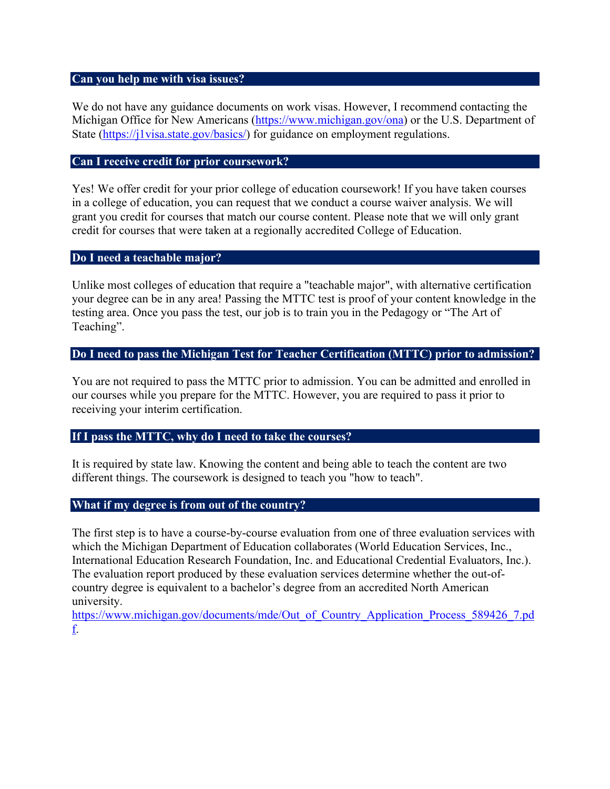# **Can you help me with visa issues?**

We do not have any guidance documents on work visas. However, I recommend contacting the Michigan Office for New Americans (https://www.michigan.gov/ona) or the U.S. Department of State (https://j1visa.state.gov/basics/) for guidance on employment regulations.

#### **Can I receive credit for prior coursework?**

Yes! We offer credit for your prior college of education coursework! If you have taken courses in a college of education, you can request that we conduct a course waiver analysis. We will grant you credit for courses that match our course content. Please note that we will only grant credit for courses that were taken at a regionally accredited College of Education.

# **Do I need a teachable major?**

Unlike most colleges of education that require a "teachable major", with alternative certification your degree can be in any area! Passing the MTTC test is proof of your content knowledge in the testing area. Once you pass the test, our job is to train you in the Pedagogy or "The Art of Teaching".

### **Do I need to pass the Michigan Test for Teacher Certification (MTTC) prior to admission?**

You are not required to pass the MTTC prior to admission. You can be admitted and enrolled in our courses while you prepare for the MTTC. However, you are required to pass it prior to receiving your interim certification.

#### **If I pass the MTTC, why do I need to take the courses?**

It is required by state law. Knowing the content and being able to teach the content are two different things. The coursework is designed to teach you "how to teach".

#### **What if my degree is from out of the country?**

The first step is to have a course-by-course evaluation from one of three evaluation services with which the Michigan Department of Education collaborates (World Education Services, Inc., International Education Research Foundation, Inc. and Educational Credential Evaluators, Inc.). The evaluation report produced by these evaluation services determine whether the out-ofcountry degree is equivalent to a bachelor's degree from an accredited North American university.

https://www.michigan.gov/documents/mde/Out\_of\_Country\_Application\_Process\_589426\_7.pd f.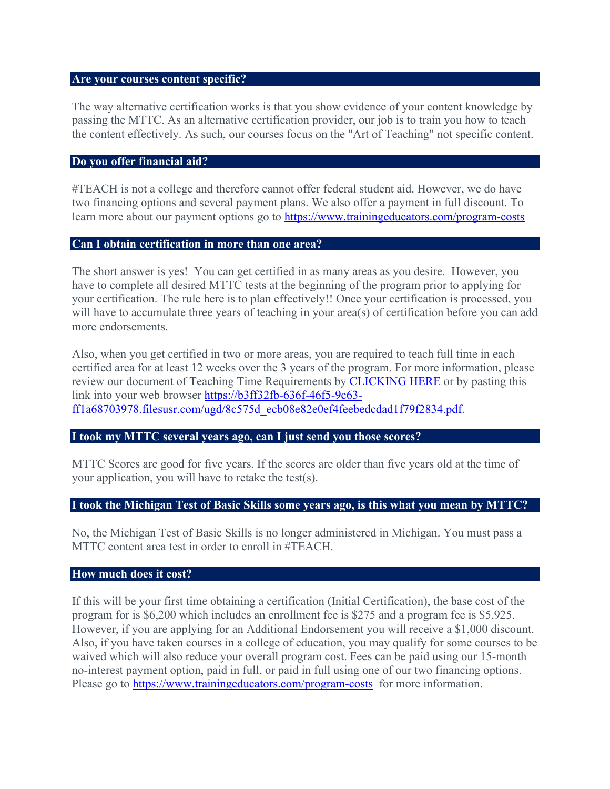#### **Are your courses content specific?**

The way alternative certification works is that you show evidence of your content knowledge by passing the MTTC. As an alternative certification provider, our job is to train you how to teach the content effectively. As such, our courses focus on the "Art of Teaching" not specific content.

### **Do you offer financial aid?**

#TEACH is not a college and therefore cannot offer federal student aid. However, we do have two financing options and several payment plans. We also offer a payment in full discount. To learn more about our payment options go to https://www.trainingeducators.com/program-costs

### **Can I obtain certification in more than one area?**

The short answer is yes! You can get certified in as many areas as you desire. However, you have to complete all desired MTTC tests at the beginning of the program prior to applying for your certification. The rule here is to plan effectively!! Once your certification is processed, you will have to accumulate three years of teaching in your area(s) of certification before you can add more endorsements.

Also, when you get certified in two or more areas, you are required to teach full time in each certified area for at least 12 weeks over the 3 years of the program. For more information, please review our document of Teaching Time Requirements by **CLICKING HERE** or by pasting this link into your web browser https://b3ff32fb-636f-46f5-9c63 ff1a68703978.filesusr.com/ugd/8c575d\_ecb08e82e0ef4feebedcdad1f79f2834.pdf.

# **I took my MTTC several years ago, can I just send you those scores?**

MTTC Scores are good for five years. If the scores are older than five years old at the time of your application, you will have to retake the test(s).

# **I took the Michigan Test of Basic Skills some years ago, is this what you mean by MTTC?**

No, the Michigan Test of Basic Skills is no longer administered in Michigan. You must pass a MTTC content area test in order to enroll in #TEACH.

#### **How much does it cost?**

If this will be your first time obtaining a certification (Initial Certification), the base cost of the program for is \$6,200 which includes an enrollment fee is \$275 and a program fee is \$5,925. However, if you are applying for an Additional Endorsement you will receive a \$1,000 discount. Also, if you have taken courses in a college of education, you may qualify for some courses to be waived which will also reduce your overall program cost. Fees can be paid using our 15-month no-interest payment option, paid in full, or paid in full using one of our two financing options. Please go to https://www.trainingeducators.com/program-costs for more information.